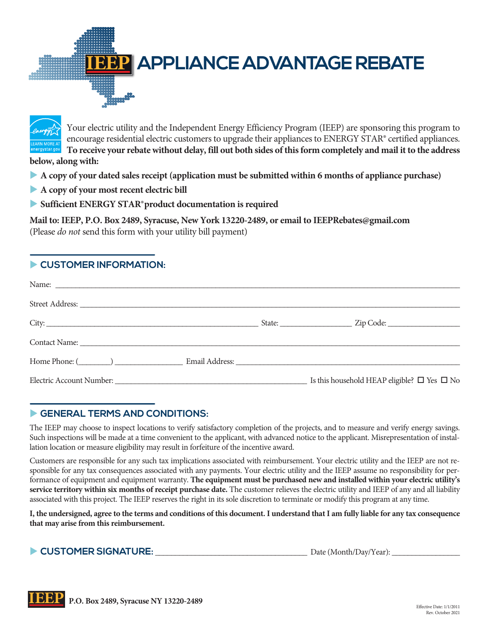



Your electric utility and the Independent Energy Efficiency Program (IEEP) are sponsoring this program to encourage residential electric customers to upgrade their appliances to ENERGY STAR® certified appliances. **To receive your rebate without delay, fill out both sides of this form completely and mail it to the address below, along with:**

- u **A copy of your dated sales receipt (application must be submitted within 6 months of appliance purchase)**
- **A copy of your most recent electric bill**
- u **Sufficient ENERGY STAR® product documentation is required**

**Mail to: IEEP, P.O. Box 2489, Syracuse, New York 13220-2489, or email to IEEPRebates@gmail.com** (Please *do not* send this form with your utility bill payment)

## **EXPLOMER INFORMATION:**

| Contact Name: Name and the contract Name and the contract Name and the contract Name and the contract of the contract of the contract of the contract of the contract of the contract of the contract of the contract of the c |  |                                                       |
|--------------------------------------------------------------------------------------------------------------------------------------------------------------------------------------------------------------------------------|--|-------------------------------------------------------|
| Home Phone: (Channel Communication Communication Communication Communication Communication Communication Communication Communication Communication Communication Communication Communication Communication Communication Commu |  |                                                       |
|                                                                                                                                                                                                                                |  | Is this household HEAP eligible? $\Box$ Yes $\Box$ No |

## GENERAL TERMS AND CONDITIONS:

The IEEP may choose to inspect locations to verify satisfactory completion of the projects, and to measure and verify energy savings. Such inspections will be made at a time convenient to the applicant, with advanced notice to the applicant. Misrepresentation of installation location or measure eligibility may result in forfeiture of the incentive award.

Customers are responsible for any such tax implications associated with reimbursement. Your electric utility and the IEEP are not re sponsible for any tax consequences associated with any payments. Your electric utility and the IEEP assume no responsibility for performance of equipment and equipment warranty. **The equipment must be purchased new and installed within your electric utility's service territory within six months of receipt purchase date.** The customer relieves the electric utility and IEEP of any and all liability associated with this project. The IEEP reserves the right in its sole discretion to terminate or modify this program at any time.

**I, the undersigned, agree to the terms and conditions of this document. I understand that I am fully liable for any tax consequence that may arise from this reimbursement.**

**► CUSTOMER SIGNATURE:**  $\rule{1em}{0.15mm}$  Date (Month/Day/Year):  $\rule{1em}{0.15mm}$